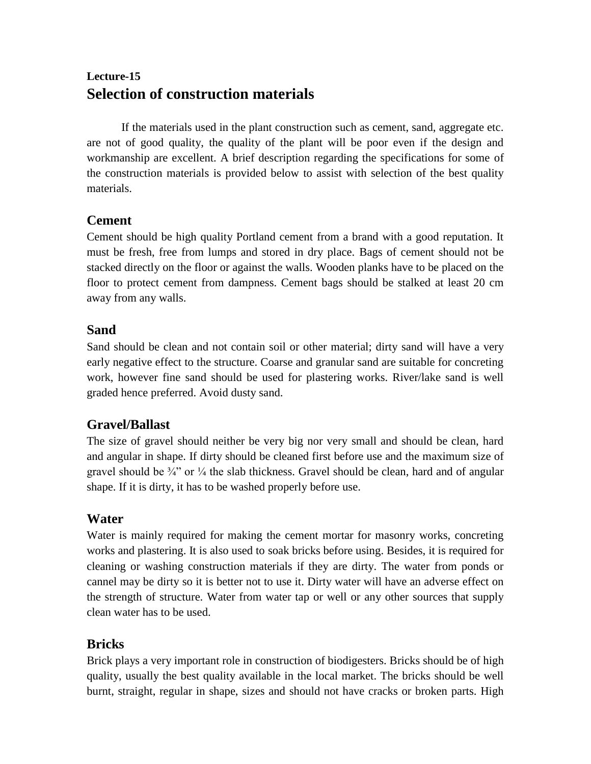# **Lecture-15 Selection of construction materials**

If the materials used in the plant construction such as cement, sand, aggregate etc. are not of good quality, the quality of the plant will be poor even if the design and workmanship are excellent. A brief description regarding the specifications for some of the construction materials is provided below to assist with selection of the best quality materials.

#### **Cement**

Cement should be high quality Portland cement from a brand with a good reputation. It must be fresh, free from lumps and stored in dry place. Bags of cement should not be stacked directly on the floor or against the walls. Wooden planks have to be placed on the floor to protect cement from dampness. Cement bags should be stalked at least 20 cm away from any walls.

#### **Sand**

Sand should be clean and not contain soil or other material; dirty sand will have a very early negative effect to the structure. Coarse and granular sand are suitable for concreting work, however fine sand should be used for plastering works. River/lake sand is well graded hence preferred. Avoid dusty sand.

### **Gravel/Ballast**

The size of gravel should neither be very big nor very small and should be clean, hard and angular in shape. If dirty should be cleaned first before use and the maximum size of gravel should be  $\frac{3}{4}$ " or  $\frac{1}{4}$  the slab thickness. Gravel should be clean, hard and of angular shape. If it is dirty, it has to be washed properly before use.

### **Water**

Water is mainly required for making the cement mortar for masonry works, concreting works and plastering. It is also used to soak bricks before using. Besides, it is required for cleaning or washing construction materials if they are dirty. The water from ponds or cannel may be dirty so it is better not to use it. Dirty water will have an adverse effect on the strength of structure. Water from water tap or well or any other sources that supply clean water has to be used.

### **Bricks**

Brick plays a very important role in construction of biodigesters. Bricks should be of high quality, usually the best quality available in the local market. The bricks should be well burnt, straight, regular in shape, sizes and should not have cracks or broken parts. High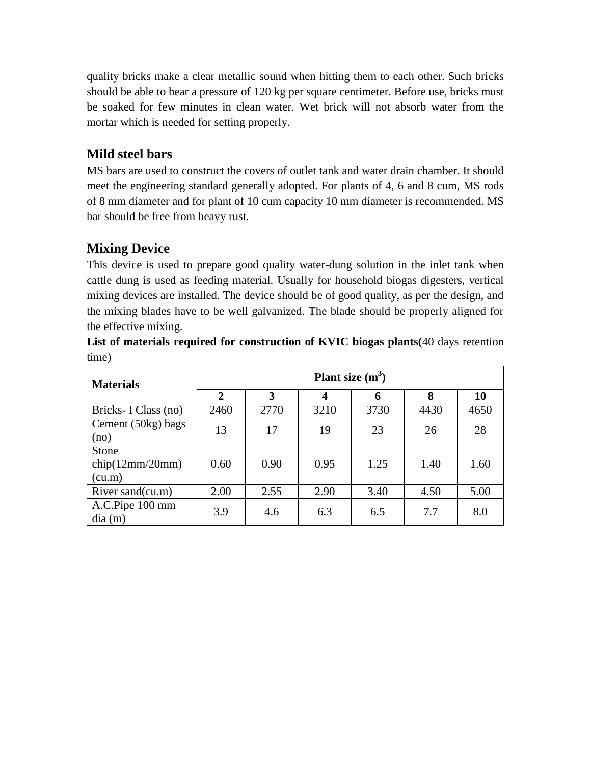quality bricks make a clear metallic sound when hitting them to each other. Such bricks should be able to bear a pressure of 120 kg per square centimeter. Before use, bricks must be soaked for few minutes in clean water. Wet brick will not absorb water from the mortar which is needed for setting properly.

## **Mild steel bars**

MS bars are used to construct the covers of outlet tank and water drain chamber. It should meet the engineering standard generally adopted. For plants of 4, 6 and 8 cum, MS rods of 8 mm diameter and for plant of 10 cum capacity 10 mm diameter is recommended. MS bar should be free from heavy rust.

## **Mixing Device**

This device is used to prepare good quality water-dung solution in the inlet tank when cattle dung is used as feeding material. Usually for household biogas digesters, vertical mixing devices are installed. The device should be of good quality, as per the design, and the mixing blades have to be well galvanized. The blade should be properly aligned for the effective mixing.

| List of materials required for construction of KVIC biogas plants (40 days retention |  |  |  |  |
|--------------------------------------------------------------------------------------|--|--|--|--|
| time)                                                                                |  |  |  |  |

| <b>Materials</b>     | Plant size $(m^3)$ |      |                  |      |      |      |  |
|----------------------|--------------------|------|------------------|------|------|------|--|
|                      | $\overline{2}$     | 3    | $\boldsymbol{4}$ | 6    | 8    | 10   |  |
| Bricks- I Class (no) | 2460               | 2770 | 3210             | 3730 | 4430 | 4650 |  |
| Cement (50kg) bags   | 13                 | 17   | 19               | 23   | 26   | 28   |  |
| (no)                 |                    |      |                  |      |      |      |  |
| Stone                |                    |      |                  |      |      |      |  |
| chip(12mm/20mm)      | 0.60               | 0.90 | 0.95             | 1.25 | 1.40 | 1.60 |  |
| (cu.m)               |                    |      |                  |      |      |      |  |
| River sand(cu.m)     | 2.00               | 2.55 | 2.90             | 3.40 | 4.50 | 5.00 |  |
| A.C.Pipe 100 mm      | 3.9                | 4.6  | 6.3              | 6.5  | 7.7  | 8.0  |  |
| dia(m)               |                    |      |                  |      |      |      |  |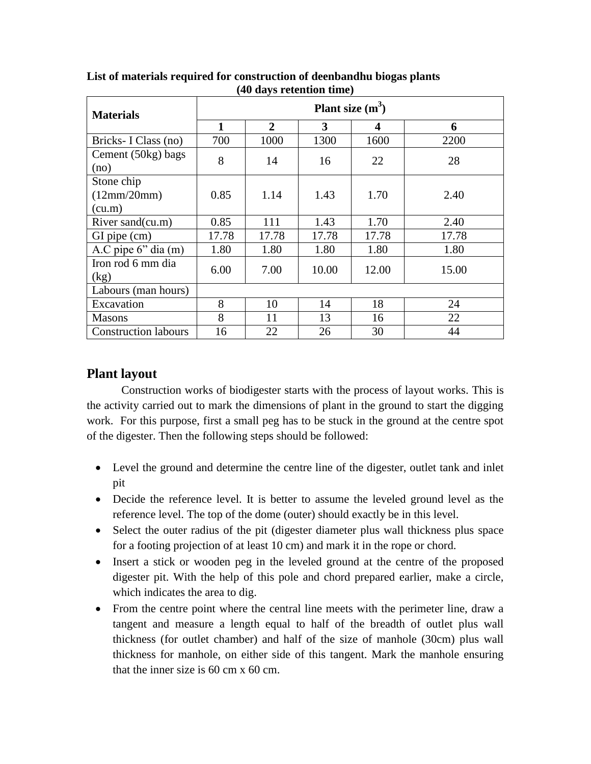| <b>Materials</b>                         | Plant size $(m^3)$ |               |               |                  |               |  |  |
|------------------------------------------|--------------------|---------------|---------------|------------------|---------------|--|--|
|                                          | 1                  | $\mathbf{2}$  | 3             | $\boldsymbol{4}$ | 6             |  |  |
| Bricks- I Class (no)                     | 700                | 1000          | 1300          | 1600             | 2200          |  |  |
| Cement (50kg) bags<br>(no)               | 8                  | 14            | 16            | 22               | 28            |  |  |
| Stone chip<br>(12mm/20mm)                | 0.85               | 1.14          | 1.43          | 1.70             | 2.40          |  |  |
| (cu.m)<br>River sand(cu.m)               | 0.85               | 111           | 1.43          | 1.70             | 2.40          |  |  |
| GI pipe (cm)<br>A.C pipe $6$ " dia $(m)$ | 17.78<br>1.80      | 17.78<br>1.80 | 17.78<br>1.80 | 17.78<br>1.80    | 17.78<br>1.80 |  |  |
| Iron rod 6 mm dia<br>(kg)                | 6.00               | 7.00          | 10.00         | 12.00            | 15.00         |  |  |
| Labours (man hours)                      |                    |               |               |                  |               |  |  |
| Excavation                               | 8                  | 10            | 14            | 18               | 24            |  |  |
| <b>Masons</b>                            | 8                  | 11            | 13            | 16               | 22            |  |  |
| <b>Construction labours</b>              | 16                 | 22            | 26            | 30               | 44            |  |  |

**List of materials required for construction of deenbandhu biogas plants (40 days retention time)**

#### **Plant layout**

Construction works of biodigester starts with the process of layout works. This is the activity carried out to mark the dimensions of plant in the ground to start the digging work. For this purpose, first a small peg has to be stuck in the ground at the centre spot of the digester. Then the following steps should be followed:

- Level the ground and determine the centre line of the digester, outlet tank and inlet pit
- Decide the reference level. It is better to assume the leveled ground level as the reference level. The top of the dome (outer) should exactly be in this level.
- Select the outer radius of the pit (digester diameter plus wall thickness plus space for a footing projection of at least 10 cm) and mark it in the rope or chord.
- Insert a stick or wooden peg in the leveled ground at the centre of the proposed digester pit. With the help of this pole and chord prepared earlier, make a circle, which indicates the area to dig.
- From the centre point where the central line meets with the perimeter line, draw a tangent and measure a length equal to half of the breadth of outlet plus wall thickness (for outlet chamber) and half of the size of manhole (30cm) plus wall thickness for manhole, on either side of this tangent. Mark the manhole ensuring that the inner size is 60 cm x 60 cm.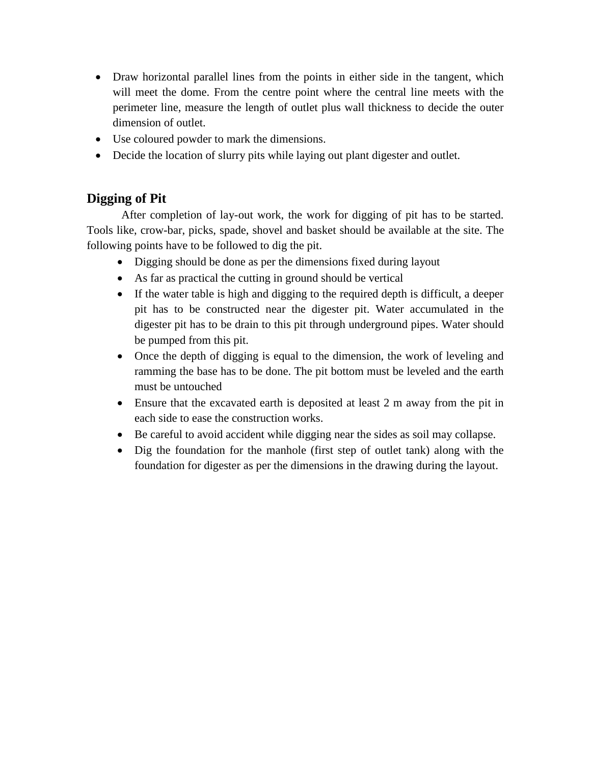- Draw horizontal parallel lines from the points in either side in the tangent, which will meet the dome. From the centre point where the central line meets with the perimeter line, measure the length of outlet plus wall thickness to decide the outer dimension of outlet.
- Use coloured powder to mark the dimensions.
- Decide the location of slurry pits while laying out plant digester and outlet.

#### **Digging of Pit**

After completion of lay-out work, the work for digging of pit has to be started. Tools like, crow-bar, picks, spade, shovel and basket should be available at the site. The following points have to be followed to dig the pit.

- Digging should be done as per the dimensions fixed during layout
- As far as practical the cutting in ground should be vertical
- If the water table is high and digging to the required depth is difficult, a deeper pit has to be constructed near the digester pit. Water accumulated in the digester pit has to be drain to this pit through underground pipes. Water should be pumped from this pit.
- Once the depth of digging is equal to the dimension, the work of leveling and ramming the base has to be done. The pit bottom must be leveled and the earth must be untouched
- Ensure that the excavated earth is deposited at least 2 m away from the pit in each side to ease the construction works.
- Be careful to avoid accident while digging near the sides as soil may collapse.
- Dig the foundation for the manhole (first step of outlet tank) along with the foundation for digester as per the dimensions in the drawing during the layout.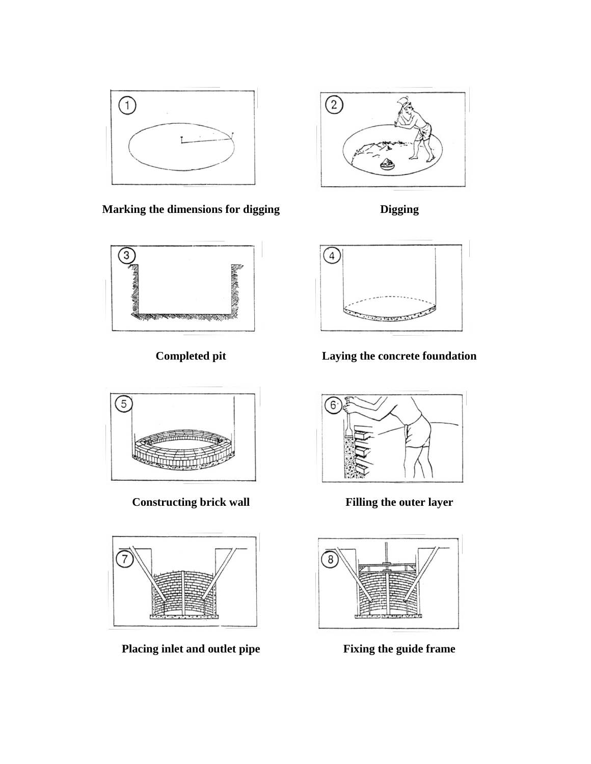

**Marking the dimensions for digging Digging**





**Constructing brick wall Filling the outer layer** 



**Placing inlet and outlet pipe Fixing the guide frame**





**Completed pit Laying the concrete foundation**



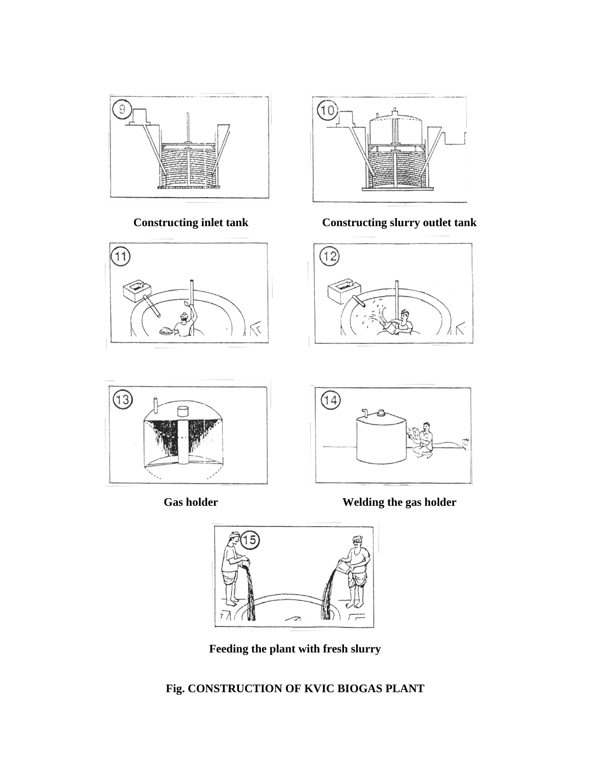





**Constructing inlet tank Constructing slurry outlet tank**











**Feeding the plant with fresh slurry**

## **Fig. CONSTRUCTION OF KVIC BIOGAS PLANT**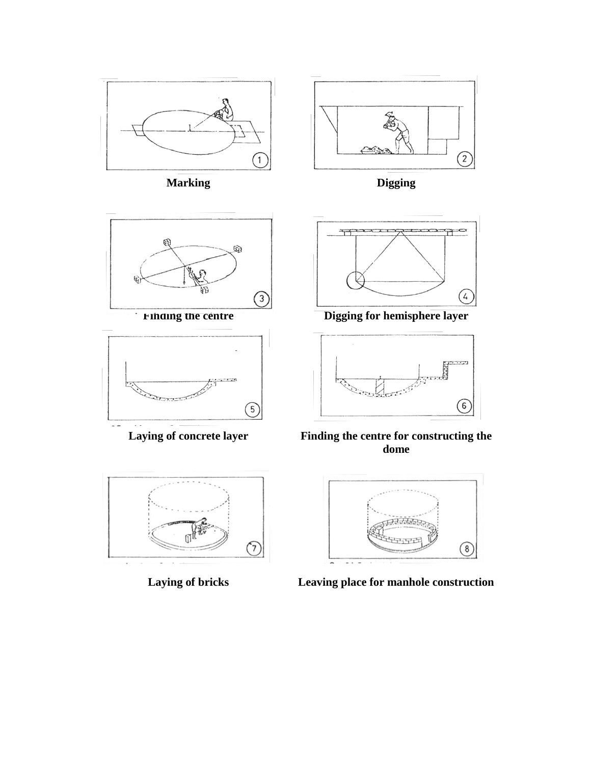

**Marking Digging**











**Finding the centre Example 2 Digging for hemisphere layer** 



**Laying of concrete layer Finding the centre for constructing the dome**



**Laying of bricks Leaving place for manhole construction**